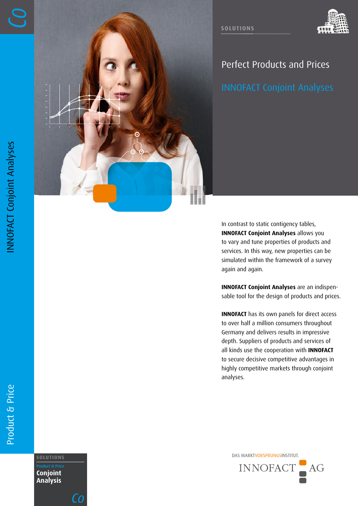

# Perfect Products and Prices

**SOLUTIONS**

In contrast to static contigency tables, **INNOFACT Conjoint Analyses** allows you to vary and tune properties of products and services. In this way, new properties can be simulated within the framework of a survey again and again.

**INNOFACT Conjoint Analyses** are an indispensable tool for the design of products and prices.

**INNOFACT** has its own panels for direct access to over half a million consumers throughout Germany and delivers results in impressive depth. Suppliers of products and services of all kinds use the cooperation with **INNOFACT** to secure decisive competitive advantages in highly competitive markets through conjoint analyses.

DAS MARKTVORSPRUNGSINSTITUT. **SOLUTIONS** INNOFACT  $AG$ 

**Conjoint Analysis**

*Co*